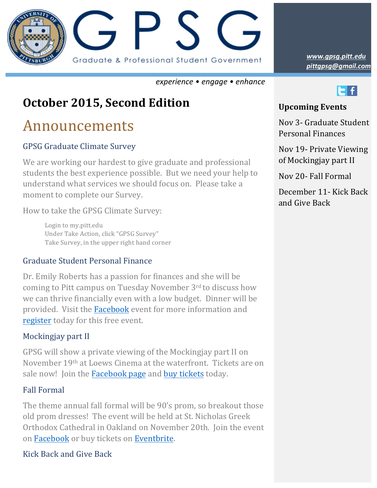

*experience • engage • enhance*

# **October 2015, Second Edition**

# Announcements

## GPSG Graduate Climate Survey

We are working our hardest to give graduate and professional students the best experience possible. But we need your help to understand what services we should focus on. Please take a moment to complete our Survey.

How to take the GPSG Climate Survey:

Login to my.pitt.edu Under Take Action, click "GPSG Survey" Take Survey, in the upper right hand corner

#### Graduate Student Personal Finance

Dr. Emily Roberts has a passion for finances and she will be coming to Pitt campus on Tuesday November 3rd to discuss how we can thrive financially even with a low budget. Dinner will be provided. Visit the Facebook event for more information and [register](https://www.eventbrite.com/e/dr-emily-roberts-presents-graduate-student-personal-financing-tickets-19255642144) today for this free event.

## Mockingjay part II

GPSG will show a private viewing of the Mockingjay part II on November 19<sup>th</sup> at Loews Cinema at the waterfront. Tickets are on sale now! Join the Facebook page and buy tickets today.

#### Fall Formal

The theme annual fall formal will be 90's prom, so breakout those old prom dresses! The event will be held at St. Nicholas Greek Orthodox Cathedral in Oakland on November 20th. Join the event on Facebook or buy tickets on [Eventbrite.](http://www.eventbrite.com/e/graduate-prom-2015-tickets-19215714720)

## Kick Back and Give Back

*pittgpsg@gmail.com www.gpsg.pitt.edu*



## **Upcoming Events**

Nov 3- Graduate Student Personal Finances

Nov 19- Private Viewing of Mockingjay part II

Nov 20- Fall Formal

December 11- Kick Back and Give Back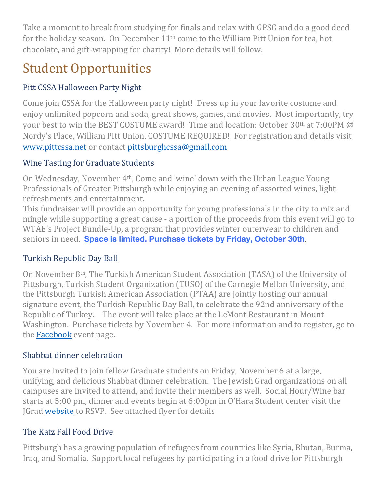Take a moment to break from studying for finals and relax with GPSG and do a good deed for the holiday season. On December  $11<sup>th</sup>$  come to the William Pitt Union for tea, hot chocolate, and gift-wrapping for charity! More details will follow.

# **Student Opportunities**

# Pitt CSSA Halloween Party Night

Come join CSSA for the Halloween party night! Dress up in your favorite costume and enjoy unlimited popcorn and soda, great shows, games, and movies. Most importantly, try your best to win the BEST COSTUME award! Time and location: October  $30<sup>th</sup>$  at  $7:00<sup>th</sup>$  @ Nordy's Place, William Pitt Union. COSTUME REQUIRED! For registration and details visit [www.pittcssa.net](https://www.pittcssa.net) or contact [pittsburghcssa@gmail.com](mailto:pittsburghcssa@gmail.com)

# Wine Tasting for Graduate Students

On Wednesday, November  $4<sup>th</sup>$ , Come and 'wine' down with the Urban League Young Professionals of Greater Pittsburgh while enjoying an evening of assorted wines, light refreshments and entertainment.

This fundraiser will provide an opportunity for young professionals in the city to mix and mingle while supporting a great cause - a portion of the proceeds from this event will go to WTAE's Project Bundle-Up, a program that provides winter outerwear to children and seniors in need. **[Space is limited. Purchase tickets by Friday, October 30th](http://www.eventbrite.com/e/wine-down-wednesday-tickets-19132841845?aff=es2).** 

# Turkish Republic Day Ball

On November 8<sup>th</sup>, The Turkish American Student Association (TASA) of the University of Pittsburgh, Turkish Student Organization (TUSO) of the Carnegie Mellon University, and the Pittsburgh Turkish American Association (PTAA) are jointly hosting our annual signature event, the Turkish Republic Day Ball, to celebrate the 92nd anniversary of the Republic of Turkey. The event will take place at the LeMont Restaurant in Mount Washington. Purchase tickets by November 4. For more information and to register, go to the **Facebook** event page.

# Shabbat dinner celebration

You are invited to join fellow Graduate students on Friday, November 6 at a large, unifying, and delicious Shabbat dinner celebration. The Jewish Grad organizations on all campuses are invited to attend, and invite their members as well. Social Hour/Wine bar starts at 5:00 pm, dinner and events begin at 6:00pm in O'Hara Student center visit the JGrad website to RSVP. See attached flyer for details

# The Katz Fall Food Drive

Pittsburgh has a growing population of refugees from countries like Syria, Bhutan, Burma, Iraq, and Somalia. Support local refugees by participating in a food drive for Pittsburgh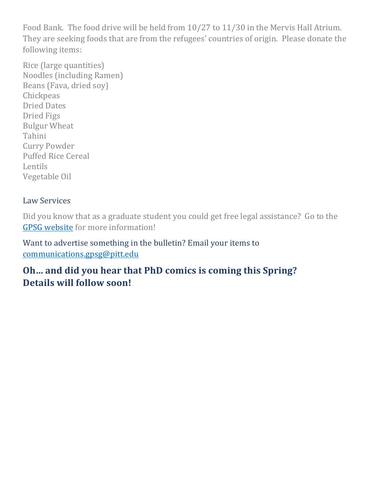Food Bank. The food drive will be held from  $10/27$  to  $11/30$  in the Mervis Hall Atrium. They are seeking foods that are from the refugees' countries of origin. Please donate the following items:

Rice (large quantities) Noodles (including Ramen) Beans (Fava, dried soy) **Chickpeas** Dried Dates Dried Figs **Bulgur** Wheat Tahini Curry Powder Puffed Rice Cereal Lentils Vegetable Oil

### Law Services

Did you know that as a graduate student you could get free legal assistance? Go to the GPSG website for more information!

Want to advertise something in the bulletin? Email your items to [communications.gpsg@pitt.edu](mailto:communications.gpsg@pitt.edu)

# **Oh... and did you hear that PhD comics is coming this Spring? Details will follow soon!**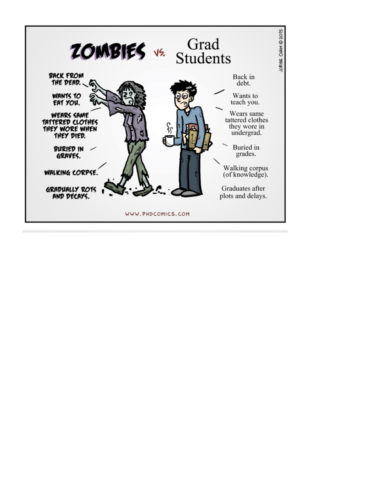